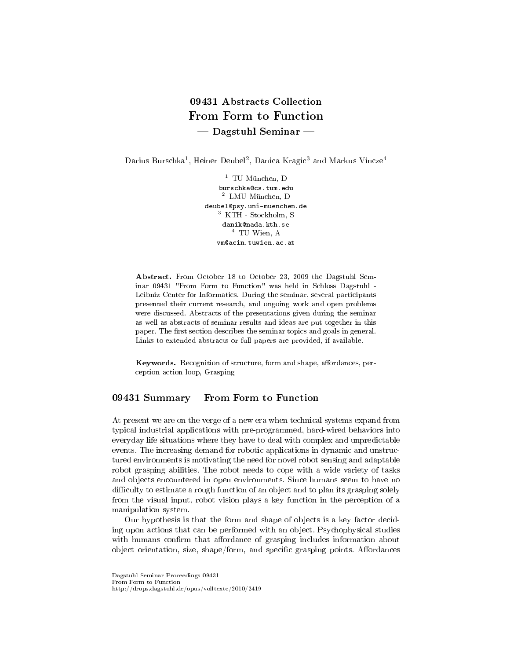# 09431 Abstracts Collection From Form to Function  $-$  Dagstuhl Seminar  $-$

Darius Burschka<sup>1</sup>, Heiner Deubel<sup>2</sup>, Danica Kragic<sup>3</sup> and Markus Vincze<sup>4</sup>

 $1$  TU München, D burschka@cs.tum.edu <sup>2</sup> LMU München, D deubel@psy.uni-muenchen.de <sup>3</sup> KTH - Stockholm, S danik@nada.kth.se <sup>4</sup> TU Wien, A vm@acin.tuwien.ac.at

Abstract. From October 18 to October 23, 2009 the Dagstuhl Seminar 09431 "From Form to Function" was held in Schloss Dagstuhl - Leibniz Center for Informatics. During the seminar, several participants presented their current research, and ongoing work and open problems were discussed. Abstracts of the presentations given during the seminar as well as abstracts of seminar results and ideas are put together in this paper. The first section describes the seminar topics and goals in general. Links to extended abstracts or full papers are provided, if available.

Keywords. Recognition of structure, form and shape, affordances, perception action loop, Grasping

# 09431 Summary - From Form to Function

At present we are on the verge of a new era when technical systems expand from typical industrial applications with pre-programmed, hard-wired behaviors into everyday life situations where they have to deal with complex and unpredictable events. The increasing demand for robotic applications in dynamic and unstructured environments is motivating the need for novel robot sensing and adaptable robot grasping abilities. The robot needs to cope with a wide variety of tasks and objects encountered in open environments. Since humans seem to have no difficulty to estimate a rough function of an object and to plan its grasping solely from the visual input, robot vision plays a key function in the perception of a manipulation system.

Our hypothesis is that the form and shape of objects is a key factor deciding upon actions that can be performed with an object. Psychophysical studies with humans confirm that affordance of grasping includes information about object orientation, size, shape/form, and specific grasping points. Affordances

Dagstuhl Seminar Proceedings 09431 From Form to Function http://drops.dagstuhl.de/opus/volltexte/2010/2419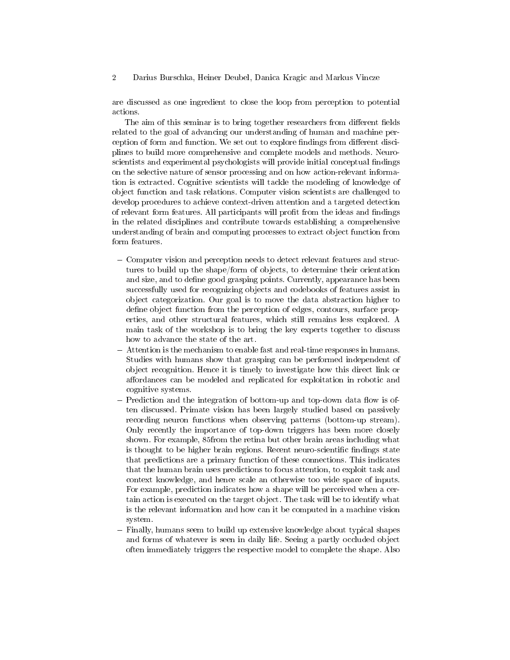are discussed as one ingredient to close the loop from perception to potential actions.

The aim of this seminar is to bring together researchers from different fields related to the goal of advancing our understanding of human and machine perception of form and function. We set out to explore findings from different disciplines to build more comprehensive and complete models and methods. Neuroscientists and experimental psychologists will provide initial conceptual findings on the selective nature of sensor processing and on how action-relevant information is extracted. Cognitive scientists will tackle the modeling of knowledge of object function and task relations. Computer vision scientists are challenged to develop procedures to achieve context-driven attention and a targeted detection of relevant form features. All participants will profit from the ideas and findings in the related disciplines and contribute towards establishing a comprehensive understanding of brain and computing processes to extract object function from form features.

- Computer vision and perception needs to detect relevant features and structures to build up the shape/form of objects, to determine their orientation and size, and to define good grasping points. Currently, appearance has been successfully used for recognizing objects and codebooks of features assist in object categorization. Our goal is to move the data abstraction higher to define object function from the perception of edges, contours, surface properties, and other structural features, which still remains less explored. A main task of the workshop is to bring the key experts together to discuss how to advance the state of the art.
- Attention is the mechanism to enable fast and real-time responses in humans. Studies with humans show that grasping can be performed independent of object recognition. Hence it is timely to investigate how this direct link or affordances can be modeled and replicated for exploitation in robotic and cognitive systems.
- $-$  Prediction and the integration of bottom-up and top-down data flow is often discussed. Primate vision has been largely studied based on passively recording neuron functions when observing patterns (bottom-up stream). Only recently the importance of top-down triggers has been more closely shown. For example, 85from the retina but other brain areas including what is thought to be higher brain regions. Recent neuro-scientific findings state that predictions are a primary function of these connections. This indicates that the human brain uses predictions to focus attention, to exploit task and context knowledge, and hence scale an otherwise too wide space of inputs. For example, prediction indicates how a shape will be perceived when a certain action is executed on the target object. The task will be to identify what is the relevant information and how can it be computed in a machine vision system.
- Finally, humans seem to build up extensive knowledge about typical shapes and forms of whatever is seen in daily life. Seeing a partly occluded object often immediately triggers the respective model to complete the shape. Also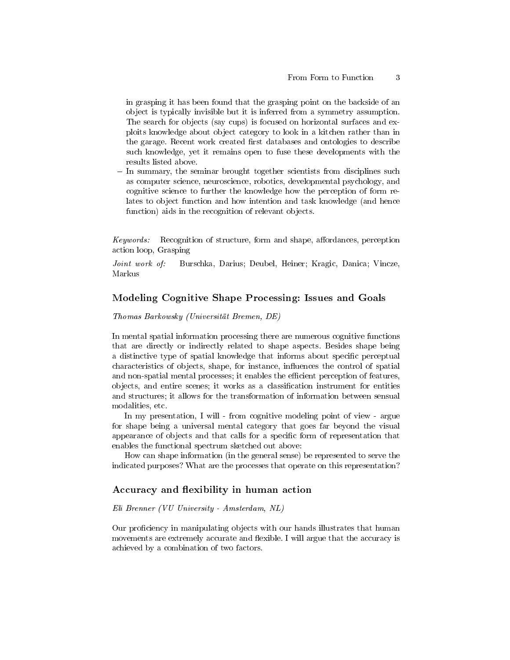in grasping it has been found that the grasping point on the backside of an object is typically invisible but it is inferred from a symmetry assumption. The search for objects (say cups) is focused on horizontal surfaces and exploits knowledge about object category to look in a kitchen rather than in the garage. Recent work created first databases and ontologies to describe such knowledge, yet it remains open to fuse these developments with the results listed above.

- In summary, the seminar brought together scientists from disciplines such as computer science, neuroscience, robotics, developmental psychology, and cognitive science to further the knowledge how the perception of form relates to object function and how intention and task knowledge (and hence function) aids in the recognition of relevant objects.

Keywords: Recognition of structure, form and shape, affordances, perception action loop, Grasping

Joint work of: Burschka, Darius; Deubel, Heiner; Kragic, Danica; Vincze, Markus

### Modeling Cognitive Shape Processing: Issues and Goals

#### Thomas Barkowsky (Universität Bremen, DE)

In mental spatial information processing there are numerous cognitive functions that are directly or indirectly related to shape aspects. Besides shape being a distinctive type of spatial knowledge that informs about specific perceptual characteristics of objects, shape, for instance, influences the control of spatial and non-spatial mental processes; it enables the efficient perception of features, objects, and entire scenes; it works as a classification instrument for entities and structures; it allows for the transformation of information between sensual modalities, etc.

In my presentation, I will - from cognitive modeling point of view - argue for shape being a universal mental category that goes far beyond the visual appearance of objects and that calls for a specific form of representation that enables the functional spectrum sketched out above:

How can shape information (in the general sense) be represented to serve the indicated purposes? What are the processes that operate on this representation?

### Accuracy and flexibility in human action

#### Eli Brenner (VU University - Amsterdam, NL)

Our proficiency in manipulating objects with our hands illustrates that human movements are extremely accurate and flexible. I will argue that the accuracy is achieved by a combination of two factors.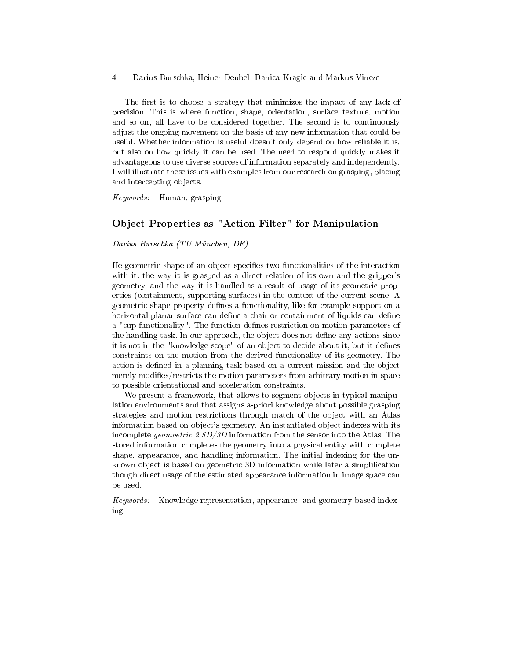The first is to choose a strategy that minimizes the impact of any lack of precision. This is where function, shape, orientation, surface texture, motion and so on, all have to be considered together. The second is to continuously adjust the ongoing movement on the basis of any new information that could be useful. Whether information is useful doesn't only depend on how reliable it is, but also on how quickly it can be used. The need to respond quickly makes it advantageous to use diverse sources of information separately and independently. I will illustrate these issues with examples from our research on grasping, placing and intercepting objects.

Keywords: Human, grasping

### Object Properties as "Action Filter" for Manipulation

#### Darius Burschka (TU München, DE)

He geometric shape of an object specifies two functionalities of the interaction with it: the way it is grasped as a direct relation of its own and the gripper's geometry, and the way it is handled as a result of usage of its geometric properties (containment, supporting surfaces) in the context of the current scene. A geometric shape property defines a functionality, like for example support on a horizontal planar surface can define a chair or containment of liquids can define a "cup functionality". The function defines restriction on motion parameters of the handling task. In our approach, the object does not define any actions since it is not in the "knowledge scope" of an object to decide about it, but it defines constraints on the motion from the derived functionality of its geometry. The action is defined in a planning task based on a current mission and the object merely modifies/restricts the motion parameters from arbitrary motion in space to possible orientational and acceleration constraints.

We present a framework, that allows to segment objects in typical manipulation environments and that assigns a-priori knowledge about possible grasping strategies and motion restrictions through match of the object with an Atlas information based on object's geometry. An instantiated object indexes with its incomplete geomoetric 2.5D/3D information from the sensor into the Atlas. The stored information completes the geometry into a physical entity with complete shape, appearance, and handling information. The initial indexing for the unknown object is based on geometric 3D information while later a simplication though direct usage of the estimated appearance information in image space can be used.

Keywords: Knowledge representation, appearance- and geometry-based indexing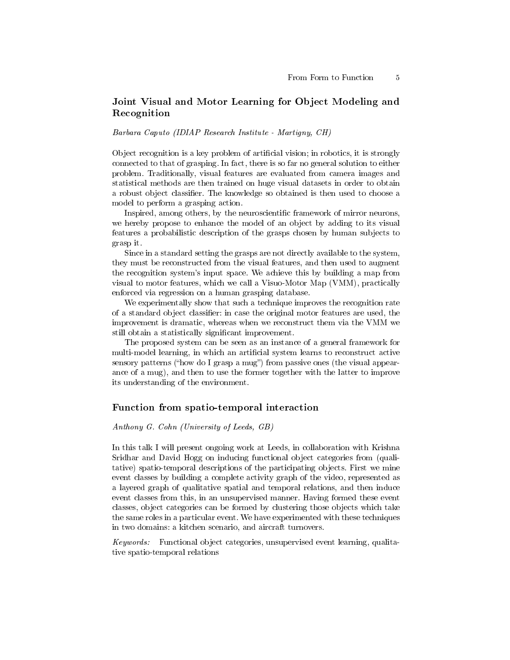# Joint Visual and Motor Learning for Object Modeling and Recognition

Barbara Caputo (IDIAP Research Institute - Martigny, CH)

Object recognition is a key problem of artificial vision; in robotics, it is strongly connected to that of grasping. In fact, there is so far no general solution to either problem. Traditionally, visual features are evaluated from camera images and statistical methods are then trained on huge visual datasets in order to obtain a robust object classifier. The knowledge so obtained is then used to choose a model to perform a grasping action.

Inspired, among others, by the neuroscientific framework of mirror neurons, we hereby propose to enhance the model of an object by adding to its visual features a probabilistic description of the grasps chosen by human subjects to grasp it.

Since in a standard setting the grasps are not directly available to the system, they must be reconstructed from the visual features, and then used to augment the recognition system's input space. We achieve this by building a map from visual to motor features, which we call a Visuo-Motor Map (VMM), practically enforced via regression on a human grasping database.

We experimentally show that such a technique improves the recognition rate of a standard object classier: in case the original motor features are used, the improvement is dramatic, whereas when we reconstruct them via the VMM we still obtain a statistically signicant improvement.

The proposed system can be seen as an instance of a general framework for multi-model learning, in which an artificial system learns to reconstruct active sensory patterns ("how do I grasp a mug") from passive ones (the visual appearance of a mug), and then to use the former together with the latter to improve its understanding of the environment.

### Function from spatio-temporal interaction

Anthony G. Cohn (University of Leeds, GB)

In this talk I will present ongoing work at Leeds, in collaboration with Krishna Sridhar and David Hogg on inducing functional object categories from (qualitative) spatio-temporal descriptions of the participating objects. First we mine event classes by building a complete activity graph of the video, represented as a layered graph of qualitative spatial and temporal relations, and then induce event classes from this, in an unsupervised manner. Having formed these event classes, object categories can be formed by clustering those objects which take the same roles in a particular event. We have experimented with these techniques in two domains: a kitchen scenario, and aircraft turnovers.

Keywords: Functional object categories, unsupervised event learning, qualitative spatio-temporal relations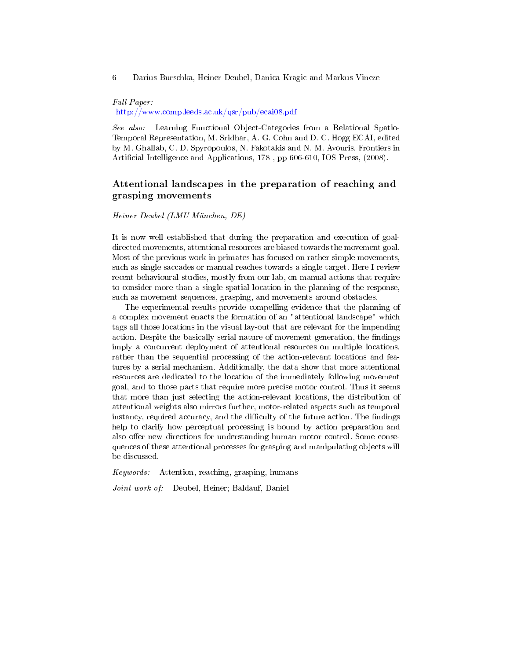Full Paper: <http://www.comp.leeds.ac.uk/qsr/pub/ecai08.pdf>

See also: Learning Functional Object-Categories from a Relational Spatio-Temporal Representation, M. Sridhar, A. G. Cohn and D. C. Hogg ECAI, edited by M. Ghallab, C. D. Spyropoulos, N. Fakotakis and N. M. Avouris, Frontiers in Artificial Intelligence and Applications, 178, pp 606-610, IOS Press, (2008).

## Attentional landscapes in the preparation of reaching and grasping movements

Heiner Deubel (LMU München, DE)

It is now well established that during the preparation and execution of goaldirected movements, attentional resources are biased towards the movement goal. Most of the previous work in primates has focused on rather simple movements, such as single saccades or manual reaches towards a single target. Here I review recent behavioural studies, mostly from our lab, on manual actions that require to consider more than a single spatial location in the planning of the response, such as movement sequences, grasping, and movements around obstacles.

The experimental results provide compelling evidence that the planning of a complex movement enacts the formation of an "attentional landscape" which tags all those locations in the visual lay-out that are relevant for the impending action. Despite the basically serial nature of movement generation, the findings imply a concurrent deployment of attentional resources on multiple locations, rather than the sequential processing of the action-relevant locations and features by a serial mechanism. Additionally, the data show that more attentional resources are dedicated to the location of the immediately following movement goal, and to those parts that require more precise motor control. Thus it seems that more than just selecting the action-relevant locations, the distribution of attentional weights also mirrors further, motor-related aspects such as temporal instancy, required accuracy, and the difficulty of the future action. The findings help to clarify how perceptual processing is bound by action preparation and also offer new directions for understanding human motor control. Some consequences of these attentional processes for grasping and manipulating objects will be discussed.

Keywords: Attention, reaching, grasping, humans

Joint work of: Deubel, Heiner; Baldauf, Daniel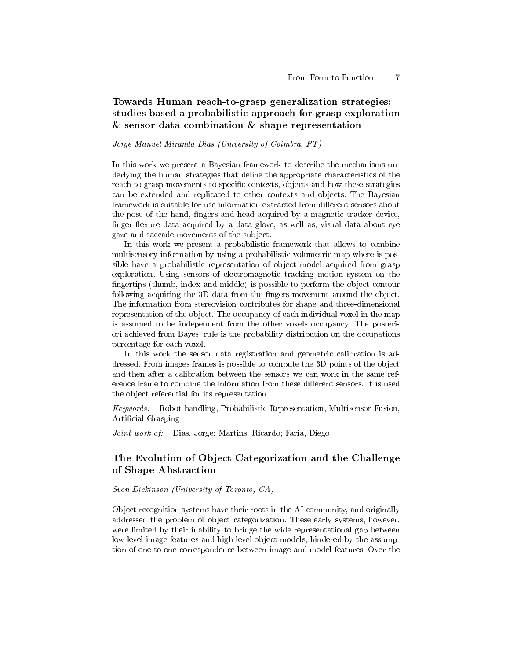# Towards Human reach-to-grasp generalization strategies: studies based a probabilistic approach for grasp exploration  $&$  sensor data combination  $&$  shape representation

#### Jorge Manuel Miranda Dias (University of Coimbra, PT)

In this work we present a Bayesian framework to describe the mechanisms underlying the human strategies that define the appropriate characteristics of the reach-to-grasp movements to specific contexts, objects and how these strategies can be extended and replicated to other contexts and objects. The Bayesian framework is suitable for use information extracted from different sensors about the pose of the hand, fingers and head acquired by a magnetic tracker device, finger flexure data acquired by a data glove, as well as, visual data about eye gaze and saccade movements of the subject.

In this work we present a probabilistic framework that allows to combine multisensory information by using a probabilistic volumetric map where is possible have a probabilistic representation of object model acquired from grasp exploration. Using sensors of electromagnetic tracking motion system on the fingertips (thumb, index and middle) is possible to perform the object contour following acquiring the 3D data from the fingers movement around the object. The information from stereovision contributes for shape and three-dimensional representation of the object. The occupancy of each individual voxel in the map is assumed to be independent from the other voxels occupancy. The posteriori achieved from Bayes' rule is the probability distribution on the occupations percentage for each voxel.

In this work the sensor data registration and geometric calibration is addressed. From images frames is possible to compute the 3D points of the object and then after a calibration between the sensors we can work in the same reference frame to combine the information from these different sensors. It is used the object referential for its representation.

Keywords: Robot handling, Probabilistic Representation, Multisensor Fusion, Artificial Grasping

Joint work of: Dias, Jorge; Martins, Ricardo; Faria, Diego

# The Evolution of Object Categorization and the Challenge of Shape Abstraction

#### Sven Dickinson (University of Toronto, CA)

Object recognition systems have their roots in the AI community, and originally addressed the problem of object categorization. These early systems, however, were limited by their inability to bridge the wide representational gap between low-level image features and high-level object models, hindered by the assumption of one-to-one correspondence between image and model features. Over the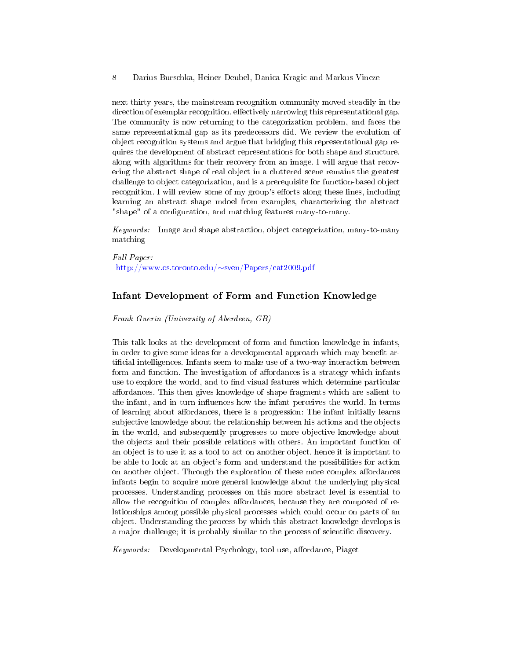next thirty years, the mainstream recognition community moved steadily in the direction of exemplar recognition, effectively narrowing this representational gap. The community is now returning to the categorization problem, and faces the same representational gap as its predecessors did. We review the evolution of object recognition systems and argue that bridging this representational gap requires the development of abstract representations for both shape and structure, along with algorithms for their recovery from an image. I will argue that recovering the abstract shape of real object in a cluttered scene remains the greatest challenge to object categorization, and is a prerequisite for function-based object recognition. I will review some of my group's efforts along these lines, including learning an abstract shape mdoel from examples, characterizing the abstract "shape" of a configuration, and matching features many-to-many.

Keywords: Image and shape abstraction, object categorization, many-to-many matching

Full Paper: [http://www.cs.toronto.edu/](http://www.cs.toronto.edu/~sven/Papers/cat2009.pdf)∼sven/Papers/cat2009.pdf

### Infant Development of Form and Function Knowledge

Frank Guerin (University of Aberdeen, GB)

This talk looks at the development of form and function knowledge in infants, in order to give some ideas for a developmental approach which may benefit artificial intelligences. Infants seem to make use of a two-way interaction between form and function. The investigation of affordances is a strategy which infants use to explore the world, and to find visual features which determine particular affordances. This then gives knowledge of shape fragments which are salient to the infant, and in turn influences how the infant perceives the world. In terms of learning about affordances, there is a progression: The infant initially learns subjective knowledge about the relationship between his actions and the objects in the world, and subsequently progresses to more objective knowledge about the objects and their possible relations with others. An important function of an object is to use it as a tool to act on another object, hence it is important to be able to look at an object's form and understand the possibilities for action on another object. Through the exploration of these more complex affordances infants begin to acquire more general knowledge about the underlying physical processes. Understanding processes on this more abstract level is essential to allow the recognition of complex affordances, because they are composed of relationships among possible physical processes which could occur on parts of an object. Understanding the process by which this abstract knowledge develops is a major challenge; it is probably similar to the process of scientific discovery.

Keywords: Developmental Psychology, tool use, affordance, Piaget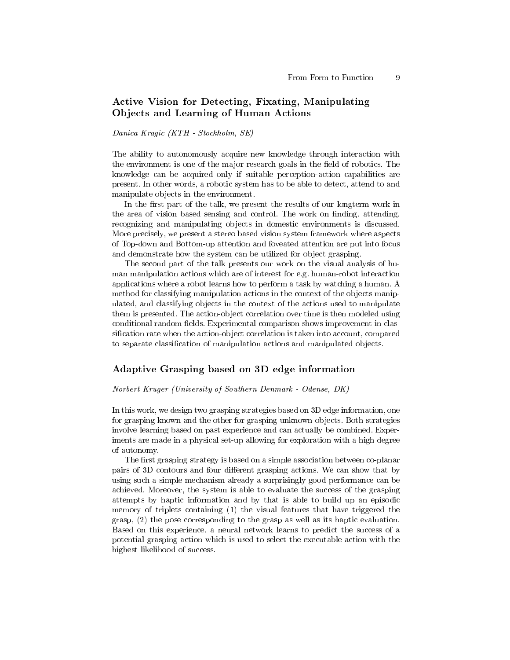# Active Vision for Detecting, Fixating, Manipulating Objects and Learning of Human Actions

Danica Kragic (KTH - Stockholm, SE)

The ability to autonomously acquire new knowledge through interaction with the environment is one of the major research goals in the field of robotics. The knowledge can be acquired only if suitable perception-action capabilities are present. In other words, a robotic system has to be able to detect, attend to and manipulate objects in the environment.

In the first part of the talk, we present the results of our longterm work in the area of vision based sensing and control. The work on finding, attending, recognizing and manipulating objects in domestic environments is discussed. More precisely, we present a stereo based vision system framework where aspects of Top-down and Bottom-up attention and foveated attention are put into focus and demonstrate how the system can be utilized for object grasping.

The second part of the talk presents our work on the visual analysis of human manipulation actions which are of interest for e.g. human-robot interaction applications where a robot learns how to perform a task by watching a human. A method for classifying manipulation actions in the context of the objects manipulated, and classifying objects in the context of the actions used to manipulate them is presented. The action-object correlation over time is then modeled using conditional random fields. Experimental comparison shows improvement in classification rate when the action-object correlation is taken into account, compared to separate classification of manipulation actions and manipulated objects.

### Adaptive Grasping based on 3D edge information

#### Norbert Kruger (University of Southern Denmark - Odense, DK)

In this work, we design two grasping strategies based on 3D edge information, one for grasping known and the other for grasping unknown objects. Both strategies involve learning based on past experience and can actually be combined. Experiments are made in a physical set-up allowing for exploration with a high degree of autonomy.

The first grasping strategy is based on a simple association between co-planar pairs of 3D contours and four different grasping actions. We can show that by using such a simple mechanism already a surprisingly good performance can be achieved. Moreover, the system is able to evaluate the success of the grasping attempts by haptic information and by that is able to build up an episodic memory of triplets containing (1) the visual features that have triggered the grasp, (2) the pose corresponding to the grasp as well as its haptic evaluation. Based on this experience, a neural network learns to predict the success of a potential grasping action which is used to select the executable action with the highest likelihood of success.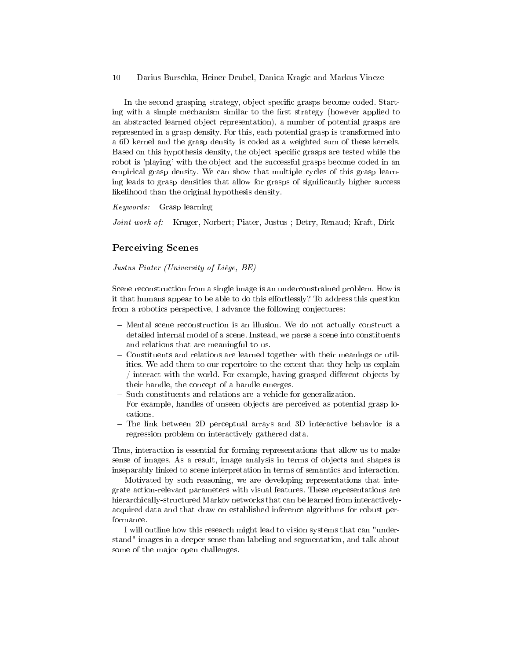In the second grasping strategy, object specific grasps become coded. Starting with a simple mechanism similar to the first strategy (however applied to an abstracted learned object representation), a number of potential grasps are represented in a grasp density. For this, each potential grasp is transformed into a 6D kernel and the grasp density is coded as a weighted sum of these kernels. Based on this hypothesis density, the object specific grasps are tested while the robot is 'playing' with the object and the successful grasps become coded in an empirical grasp density. We can show that multiple cycles of this grasp learning leads to grasp densities that allow for grasps of signicantly higher success likelihood than the original hypothesis density.

Keywords: Grasp learning

Joint work of: Kruger, Norbert; Piater, Justus; Detry, Renaud; Kraft, Dirk

### Perceiving Scenes

Justus Piater (University of Liège, BE)

Scene reconstruction from a single image is an underconstrained problem. How is it that humans appear to be able to do this effortlessly? To address this question from a robotics perspective, I advance the following conjectures:

- Mental scene reconstruction is an illusion. We do not actually construct a detailed internal model of a scene. Instead, we parse a scene into constituents and relations that are meaningful to us.
- Constituents and relations are learned together with their meanings or utilities. We add them to our repertoire to the extent that they help us explain  $/$  interact with the world. For example, having grasped different objects by their handle, the concept of a handle emerges.
- Such constituents and relations are a vehicle for generalization. For example, handles of unseen objects are perceived as potential grasp locations.
- The link between 2D perceptual arrays and 3D interactive behavior is a regression problem on interactively gathered data.

Thus, interaction is essential for forming representations that allow us to make sense of images. As a result, image analysis in terms of objects and shapes is inseparably linked to scene interpretation in terms of semantics and interaction.

Motivated by such reasoning, we are developing representations that integrate action-relevant parameters with visual features. These representations are hierarchically-structured Markov networks that can be learned from interactivelyacquired data and that draw on established inference algorithms for robust performance.

I will outline how this research might lead to vision systems that can "understand" images in a deeper sense than labeling and segmentation, and talk about some of the major open challenges.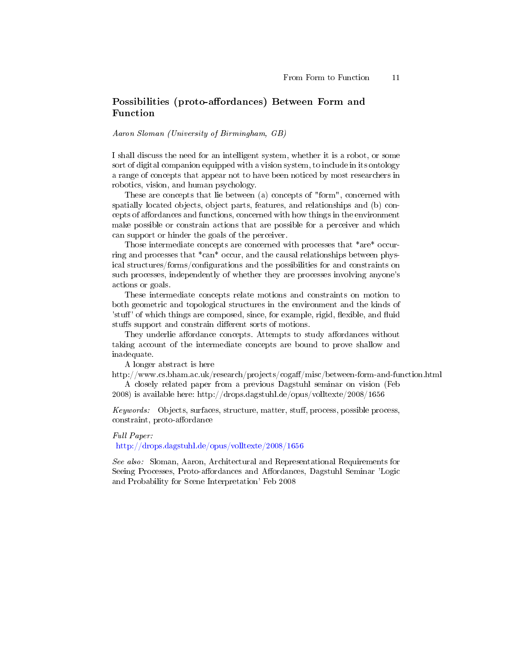# Possibilities (proto-affordances) Between Form and Function

Aaron Sloman (University of Birmingham, GB)

I shall discuss the need for an intelligent system, whether it is a robot, or some sort of digital companion equipped with a vision system, to include in its ontology a range of concepts that appear not to have been noticed by most researchers in robotics, vision, and human psychology.

These are concepts that lie between (a) concepts of "form", concerned with spatially located objects, object parts, features, and relationships and (b) concepts of affordances and functions, concerned with how things in the environment make possible or constrain actions that are possible for a perceiver and which can support or hinder the goals of the perceiver.

Those intermediate concepts are concerned with processes that \*are\* occurring and processes that \*can\* occur, and the causal relationships between physical structures/forms/configurations and the possibilities for and constraints on such processes, independently of whether they are processes involving anyone's actions or goals.

These intermediate concepts relate motions and constraints on motion to both geometric and topological structures in the environment and the kinds of 'stuff' of which things are composed, since, for example, rigid, flexible, and fluid stuffs support and constrain different sorts of motions.

They underlie affordance concepts. Attempts to study affordances without taking account of the intermediate concepts are bound to prove shallow and inadequate.

A longer abstract is here

http://www.cs.bham.ac.uk/research/projects/cogaff/misc/between-form-and-function.html A closely related paper from a previous Dagstuhl seminar on vision (Feb

2008) is available here: http://drops.dagstuhl.de/opus/volltexte/2008/1656

Keywords: Objects, surfaces, structure, matter, stuff, process, possible process, constraint, proto-affordance

#### Full Paper:

<http://drops.dagstuhl.de/opus/volltexte/2008/1656>

See also: Sloman, Aaron, Architectural and Representational Requirements for Seeing Processes, Proto-affordances and Affordances, Dagstuhl Seminar 'Logic and Probability for Scene Interpretation' Feb 2008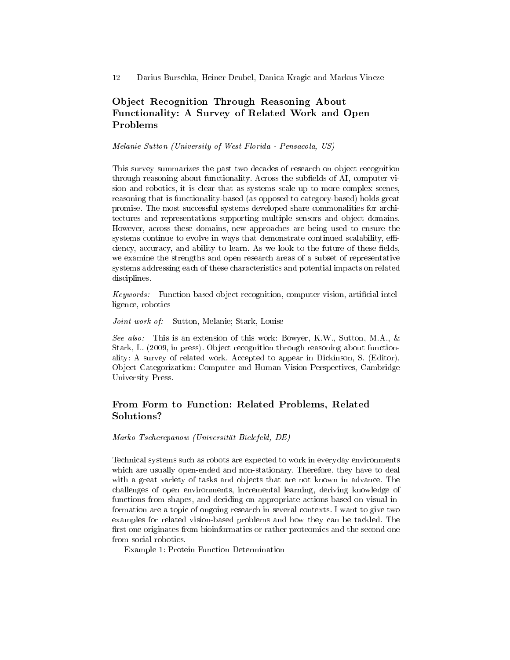# Object Recognition Through Reasoning About Functionality: A Survey of Related Work and Open Problems

Melanie Sutton (University of West Florida - Pensacola, US)

This survey summarizes the past two decades of research on object recognition through reasoning about functionality. Across the subfields of AI, computer vision and robotics, it is clear that as systems scale up to more complex scenes, reasoning that is functionality-based (as opposed to category-based) holds great promise. The most successful systems developed share commonalities for architectures and representations supporting multiple sensors and object domains. However, across these domains, new approaches are being used to ensure the systems continue to evolve in ways that demonstrate continued scalability, efficiency, accuracy, and ability to learn. As we look to the future of these fields, we examine the strengths and open research areas of a subset of representative systems addressing each of these characteristics and potential impacts on related disciplines.

Keywords: Function-based object recognition, computer vision, artificial intelligence, robotics

Joint work of: Sutton, Melanie; Stark, Louise

See also: This is an extension of this work: Bowyer, K.W., Sutton, M.A., & Stark, L. (2009, in press). Object recognition through reasoning about functionality: A survey of related work. Accepted to appear in Dickinson, S. (Editor), Object Categorization: Computer and Human Vision Perspectives, Cambridge University Press.

## From Form to Function: Related Problems, Related Solutions?

Marko Tscherepanow (Universität Bielefeld, DE)

Technical systems such as robots are expected to work in everyday environments which are usually open-ended and non-stationary. Therefore, they have to deal with a great variety of tasks and objects that are not known in advance. The challenges of open environments, incremental learning, deriving knowledge of functions from shapes, and deciding on appropriate actions based on visual information are a topic of ongoing research in several contexts. I want to give two examples for related vision-based problems and how they can be tackled. The first one originates from bioinformatics or rather proteomics and the second one from social robotics.

Example 1: Protein Function Determination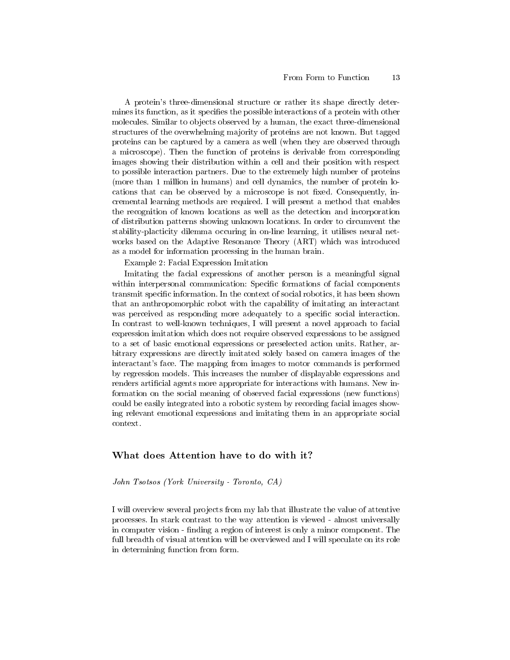A protein's three-dimensional structure or rather its shape directly determines its function, as it specifies the possible interactions of a protein with other molecules. Similar to objects observed by a human, the exact three-dimensional structures of the overwhelming majority of proteins are not known. But tagged proteins can be captured by a camera as well (when they are observed through a microscope). Then the function of proteins is derivable from corresponding images showing their distribution within a cell and their position with respect to possible interaction partners. Due to the extremely high number of proteins (more than 1 million in humans) and cell dynamics, the number of protein locations that can be observed by a microscope is not fixed. Consequently, incremental learning methods are required. I will present a method that enables the recognition of known locations as well as the detection and incorporation of distribution patterns showing unknown locations. In order to circumvent the stability-placticity dilemma occuring in on-line learning, it utilises neural networks based on the Adaptive Resonance Theory (ART) which was introduced as a model for information processing in the human brain.

Example 2: Facial Expression Imitation

Imitating the facial expressions of another person is a meaningful signal within interpersonal communication: Specific formations of facial components transmit specific information. In the context of social robotics, it has been shown that an anthropomorphic robot with the capability of imitating an interactant was perceived as responding more adequately to a specific social interaction. In contrast to well-known techniques, I will present a novel approach to facial expression imitation which does not require observed expressions to be assigned to a set of basic emotional expressions or preselected action units. Rather, arbitrary expressions are directly imitated solely based on camera images of the interactant's face. The mapping from images to motor commands is performed by regression models. This increases the number of displayable expressions and renders artificial agents more appropriate for interactions with humans. New information on the social meaning of observed facial expressions (new functions) could be easily integrated into a robotic system by recording facial images showing relevant emotional expressions and imitating them in an appropriate social context.

### What does Attention have to do with it?

John Tsotsos (York University - Toronto, CA)

I will overview several projects from my lab that illustrate the value of attentive processes. In stark contrast to the way attention is viewed - almost universally in computer vision - finding a region of interest is only a minor component. The full breadth of visual attention will be overviewed and I will speculate on its role in determining function from form.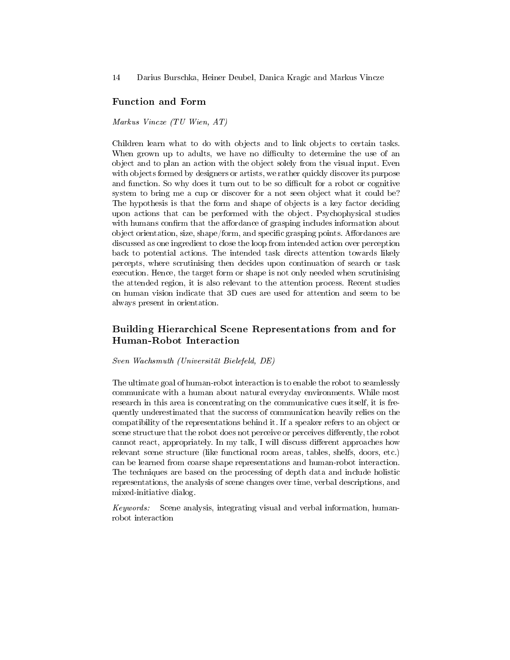### Function and Form

Markus Vincze (TU Wien, AT)

Children learn what to do with objects and to link objects to certain tasks. When grown up to adults, we have no difficulty to determine the use of an object and to plan an action with the object solely from the visual input. Even with objects formed by designers or artists, we rather quickly discover its purpose and function. So why does it turn out to be so difficult for a robot or cognitive system to bring me a cup or discover for a not seen object what it could be? The hypothesis is that the form and shape of objects is a key factor deciding upon actions that can be performed with the object. Psychophysical studies with humans confirm that the affordance of grasping includes information about object orientation, size, shape/form, and specific grasping points. Affordances are discussed as one ingredient to close the loop from intended action over perception back to potential actions. The intended task directs attention towards likely percepts, where scrutinising then decides upon continuation of search or task execution. Hence, the target form or shape is not only needed when scrutinising the attended region, it is also relevant to the attention process. Recent studies on human vision indicate that 3D cues are used for attention and seem to be always present in orientation.

# Building Hierarchical Scene Representations from and for Human-Robot Interaction

Sven Wachsmuth (Universität Bielefeld, DE)

The ultimate goal of human-robot interaction is to enable the robot to seamlessly communicate with a human about natural everyday environments. While most research in this area is concentrating on the communicative cues itself, it is frequently underestimated that the success of communication heavily relies on the compatibility of the representations behind it. If a speaker refers to an object or scene structure that the robot does not perceive or perceives differently, the robot cannot react, appropriately. In my talk, I will discuss different approaches how relevant scene structure (like functional room areas, tables, shelfs, doors, etc.) can be learned from coarse shape representations and human-robot interaction. The techniques are based on the processing of depth data and include holistic representations, the analysis of scene changes over time, verbal descriptions, and mixed-initiative dialog.

Keywords: Scene analysis, integrating visual and verbal information, humanrobot interaction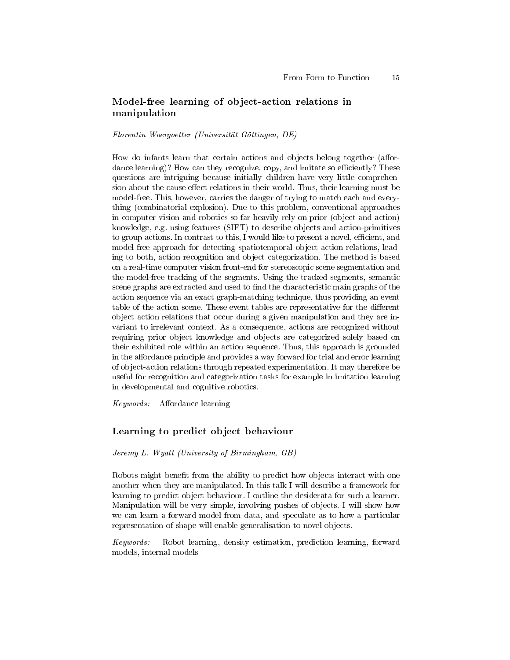## Model-free learning of object-action relations in manipulation

#### Florentin Woergoetter (Universität Göttingen, DE)

How do infants learn that certain actions and objects belong together (affordance learning)? How can they recognize, copy, and imitate so efficiently? These questions are intriguing because initially children have very little comprehension about the cause effect relations in their world. Thus, their learning must be model-free. This, however, carries the danger of trying to match each and everything (combinatorial explosion). Due to this problem, conventional approaches in computer vision and robotics so far heavily rely on prior (object and action) knowledge, e.g. using features (SIFT) to describe objects and action-primitives to group actions. In contrast to this, I would like to present a novel, efficient, and model-free approach for detecting spatiotemporal object-action relations, leading to both, action recognition and object categorization. The method is based on a real-time computer vision front-end for stereoscopic scene segmentation and the model-free tracking of the segments. Using the tracked segments, semantic scene graphs are extracted and used to find the characteristic main graphs of the action sequence via an exact graph-matching technique, thus providing an event table of the action scene. These event tables are representative for the different object action relations that occur during a given manipulation and they are invariant to irrelevant context. As a consequence, actions are recognized without requiring prior object knowledge and objects are categorized solely based on their exhibited role within an action sequence. Thus, this approach is grounded in the affordance principle and provides a way forward for trial and error learning of object-action relations through repeated experimentation. It may therefore be useful for recognition and categorization tasks for example in imitation learning in developmental and cognitive robotics.

Keywords: Affordance learning

### Learning to predict object behaviour

Jeremy L. Wyatt (University of Birmingham, GB)

Robots might benefit from the ability to predict how objects interact with one another when they are manipulated. In this talk I will describe a framework for learning to predict object behaviour. I outline the desiderata for such a learner. Manipulation will be very simple, involving pushes of objects. I will show how we can learn a forward model from data, and speculate as to how a particular representation of shape will enable generalisation to novel objects.

Keywords: Robot learning, density estimation, prediction learning, forward models, internal models